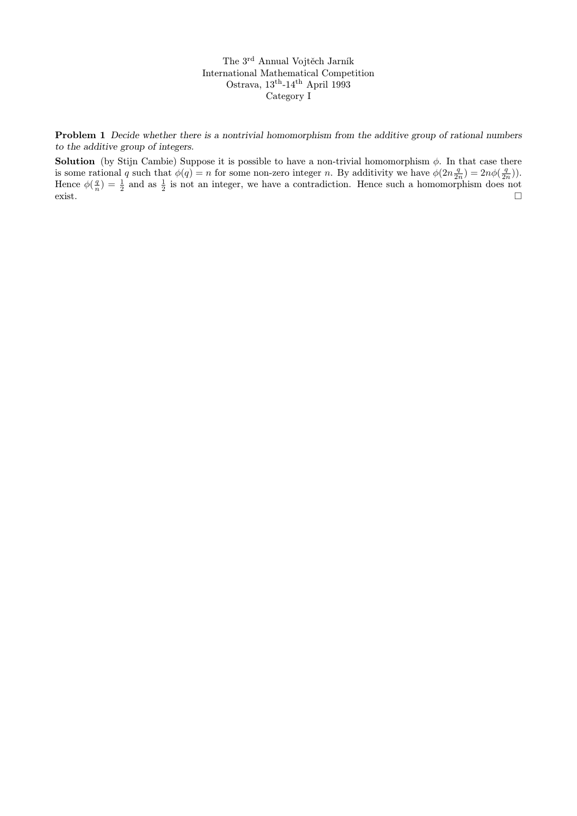The 3rd Annual Vojtěch Jarník International Mathematical Competition Ostrava,  $13^{\text{th}}$ -14<sup>th</sup> April 1993 Category I

Problem 1 Decide whether there is a nontrivial homomorphism from the additive group of rational numbers to the additive group of integers.

**Solution** (by Stijn Cambie) Suppose it is possible to have a non-trivial homomorphism  $\phi$ . In that case there is some rational q such that  $\phi(q) = n$  for some non-zero integer n. By additivity we have  $\phi(2n\frac{q}{2n}) = 2n\phi(\frac{q}{2n})$ . Hence  $\phi(\frac{q}{n}) = \frac{1}{2}$  and as  $\frac{1}{2}$  is not an integer, we have a contradiction. Hence such a homomorphism does not  $\sum_{i=1}^{n}$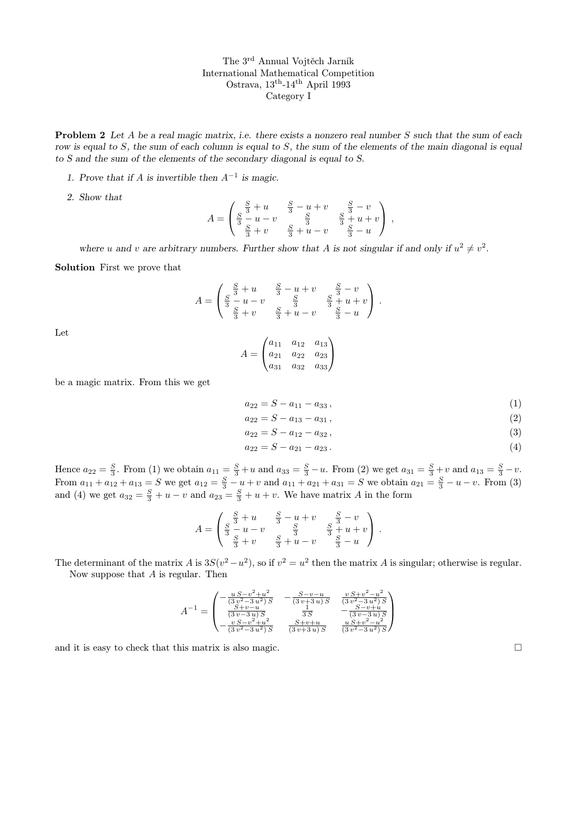The 3rd Annual Vojtěch Jarník International Mathematical Competition Ostrava, 13th-14th April 1993 Category I

**Problem 2** Let A be a real magic matrix, i.e. there exists a nonzero real number S such that the sum of each row is equal to S, the sum of each column is equal to S, the sum of the elements of the main diagonal is equal to S and the sum of the elements of the secondary diagonal is equal to S.

- 1. Prove that if A is invertible then  $A^{-1}$  is magic.
- 2. Show that

$$
A = \begin{pmatrix} \frac{S}{3} + u & \frac{S}{3} - u + v & \frac{S}{3} - v \\ \frac{S}{3} - u - v & \frac{S}{3} & \frac{S}{3} + u + v \\ \frac{S}{3} + v & \frac{S}{3} + u - v & \frac{S}{3} - u \end{pmatrix},
$$

where u and v are arbitrary numbers. Further show that A is not singular if and only if  $u^2 \neq v^2$ .

Solution First we prove that

$$
A = \begin{pmatrix} \frac{S}{3} + u & \frac{S}{3} - u + v & \frac{S}{3} - v \\ \frac{S}{3} - u - v & \frac{S}{3} & \frac{S}{3} + u + v \\ \frac{S}{3} + v & \frac{S}{3} + u - v & \frac{S}{3} - u \end{pmatrix}.
$$

Let

$$
A = \begin{pmatrix} a_{11} & a_{12} & a_{13} \\ a_{21} & a_{22} & a_{23} \\ a_{31} & a_{32} & a_{33} \end{pmatrix}
$$

be a magic matrix. From this we get

$$
a_{22} = S - a_{11} - a_{33},\tag{1}
$$

$$
a_{22} = S - a_{13} - a_{31}, \t\t(2)
$$

$$
a_{22} = S - a_{12} - a_{32}, \t\t(3)
$$

$$
a_{22} = S - a_{21} - a_{23} \,. \tag{4}
$$

Hence  $a_{22} = \frac{S}{3}$ . From (1) we obtain  $a_{11} = \frac{S}{3} + u$  and  $a_{33} = \frac{S}{3} - u$ . From (2) we get  $a_{31} = \frac{S}{3} + v$  and  $a_{13} = \frac{S}{3} - v$ . From  $a_{11} + a_{12} + a_{13} = S$  we get  $a_{12} = \frac{S}{3} - u + v$  and  $a_{11} + a_{21} + a_{31} = S$  we obtain  $a_{21} = \frac{S}{3} - u - v$ . From (3) and (4) we get  $a_{32} = \frac{S}{3} + u - v$  and  $a_{23} = \frac{S}{3} + u + v$ . We have matrix A in the form

$$
A = \begin{pmatrix} \frac{S}{3} + u & \frac{S}{3} - u + v & \frac{S}{3} - v \\ \frac{S}{3} - u - v & \frac{S}{3} & \frac{S}{3} + u + v \\ \frac{S}{3} + v & \frac{S}{3} + u - v & \frac{S}{3} - u \end{pmatrix}.
$$

The determinant of the matrix A is  $3S(v^2 - u^2)$ , so if  $v^2 = u^2$  then the matrix A is singular; otherwise is regular. Now suppose that A is regular. Then

$$
A^{-1} = \begin{pmatrix} -\frac{u S - v^2 + u^2}{(3 v^2 - 3 u^2) S} & -\frac{S - v - u}{(3 v + 3 u) S} & \frac{v S + v^2 - u^2}{(3 v^2 - 3 u^2) S} \\ \frac{S + v - u}{(3 v - 3 u) S} & \frac{1}{3 S} & -\frac{S - v + u}{(3 v - 3 u) S} \\ -\frac{v S - v^2 + u^2}{(3 v^2 - 3 u^2) S} & \frac{S + v + u}{(3 v + 3 u) S} & \frac{u S + v^2 - u^2}{(3 v^2 - 3 u^2) S} \end{pmatrix}
$$

and it is easy to check that this matrix is also magic.  $\square$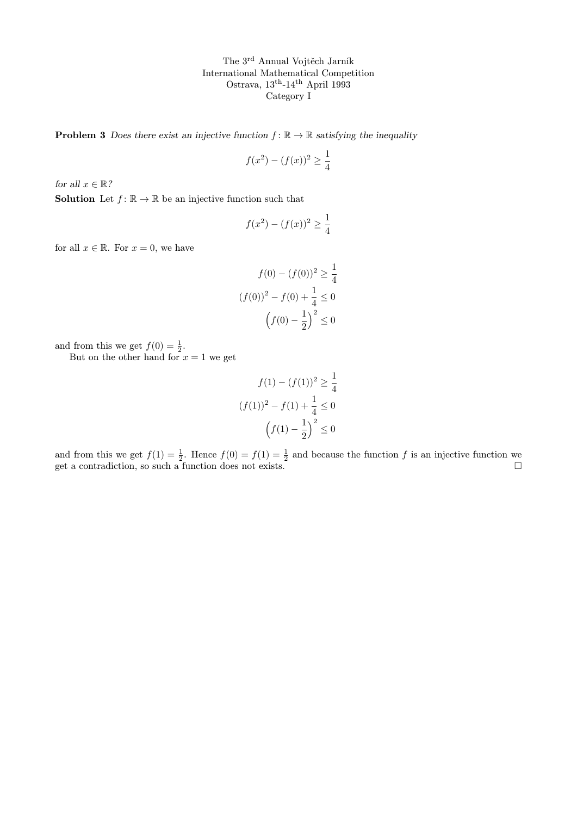The 3rd Annual Vojtěch Jarník International Mathematical Competition Ostrava,  $13^{\text{th}}$ -14<sup>th</sup> April 1993 Category I

**Problem 3** Does there exist an injective function  $f : \mathbb{R} \to \mathbb{R}$  satisfying the inequality

$$
f(x^{2}) - (f(x))^{2} \ge \frac{1}{4}
$$

for all  $x \in \mathbb{R}$ ?

**Solution** Let  $f: \mathbb{R} \to \mathbb{R}$  be an injective function such that

$$
f(x^{2}) - (f(x))^{2} \ge \frac{1}{4}
$$

for all  $x \in \mathbb{R}$ . For  $x = 0$ , we have

$$
f(0) - (f(0))^2 \ge \frac{1}{4}
$$

$$
(f(0))^2 - f(0) + \frac{1}{4} \le 0
$$

$$
(f(0) - \frac{1}{2})^2 \le 0
$$

and from this we get  $f(0) = \frac{1}{2}$ .

But on the other hand for  $x = 1$  we get

$$
f(1) - (f(1))^2 \ge \frac{1}{4}
$$

$$
(f(1))^2 - f(1) + \frac{1}{4} \le 0
$$

$$
(f(1) - \frac{1}{2})^2 \le 0
$$

and from this we get  $f(1) = \frac{1}{2}$ . Hence  $f(0) = f(1) = \frac{1}{2}$  and because the function f is an injective function we get a contradiction, so such a function does not exists.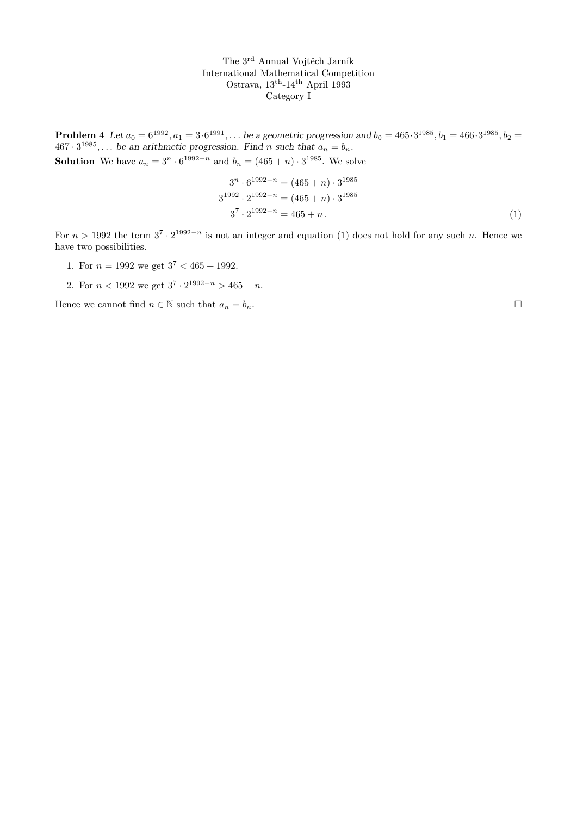The 3rd Annual Vojtěch Jarník International Mathematical Competition Ostrava, 13th-14th April 1993 Category I

**Problem 4** Let  $a_0 = 6^{1992}, a_1 = 3 \cdot 6^{1991}, ...$  be a geometric progression and  $b_0 = 465 \cdot 3^{1985}, b_1 = 466 \cdot 3^{1985}, b_2 = 166 \cdot 3^{1985}$  $467 \cdot 3^{1985}$ ,... be an arithmetic progression. Find n such that  $a_n = b_n$ . **Solution** We have  $a_n = 3^n \cdot 6^{1992 - n}$  and  $b_n = (465 + n) \cdot 3^{1985}$ . We solve

$$
3^{n} \cdot 6^{1992 - n} = (465 + n) \cdot 3^{1985}
$$
  
\n
$$
3^{1992} \cdot 2^{1992 - n} = (465 + n) \cdot 3^{1985}
$$
  
\n
$$
3^{7} \cdot 2^{1992 - n} = 465 + n.
$$
\n(1)

For  $n > 1992$  the term  $3^7 \cdot 2^{1992-n}$  is not an integer and equation (1) does not hold for any such n. Hence we have two possibilities.

- 1. For  $n = 1992$  we get  $3^7 < 465 + 1992$ .
- 2. For  $n < 1992$  we get  $3^7 \cdot 2^{1992-n} > 465 + n$ .

Hence we cannot find  $n \in \mathbb{N}$  such that  $a_n = b_n$ .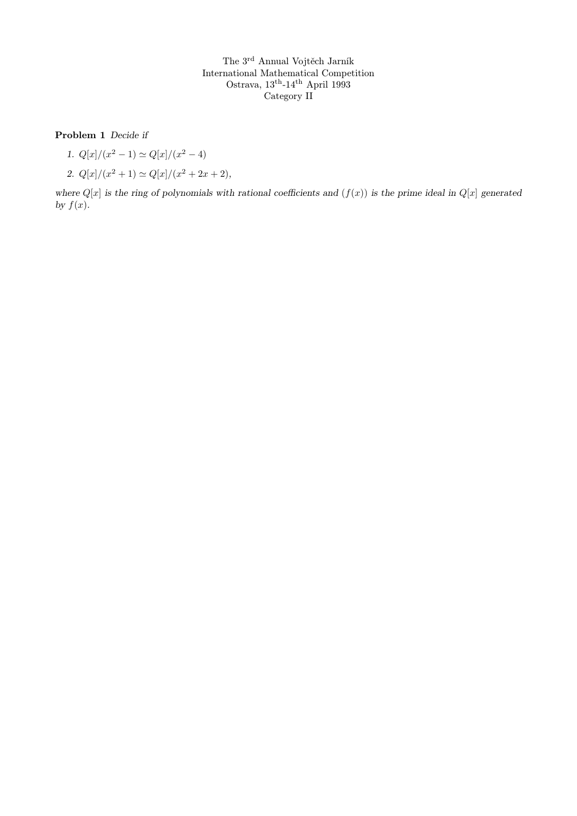The 3rd Annual Vojtěch Jarník International Mathematical Competition Ostrava, 13th-14th April 1993 Category II

Problem 1 Decide if

- 1.  $Q[x]/(x^2-1) \simeq Q[x]/(x^2-4)$
- 2.  $Q[x]/(x^2+1) \simeq Q[x]/(x^2+2x+2),$

where  $Q[x]$  is the ring of polynomials with rational coefficients and  $(f(x))$  is the prime ideal in  $Q[x]$  generated by  $f(x)$ .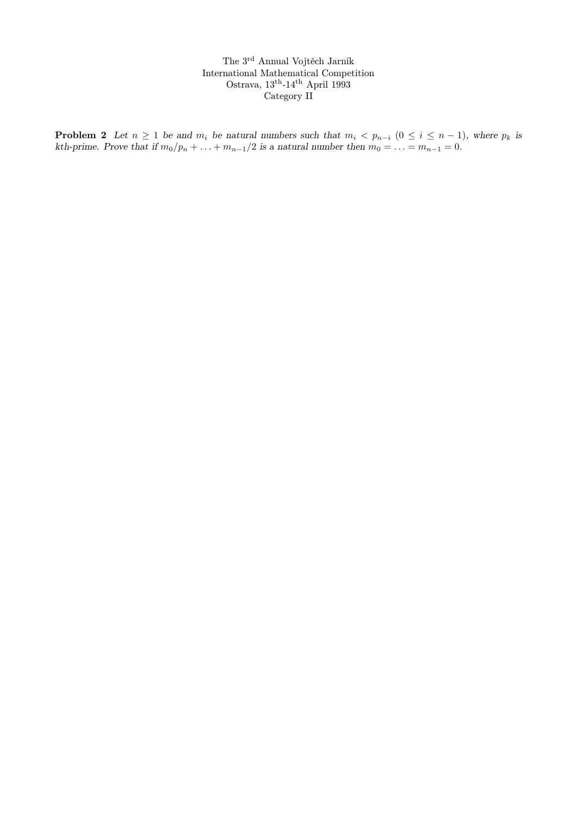The 3rd Annual Vojtěch Jarník International Mathematical Competition Ostrava, 13th-14th April 1993 Category II

**Problem 2** Let  $n \geq 1$  be and  $m_i$  be natural numbers such that  $m_i < p_{n-i}$   $(0 \leq i \leq n-1)$ , where  $p_k$  is kth-prime. Prove that if  $m_0/p_n + \ldots + m_{n-1}/2$  is a natural number then  $m_0 = \ldots = m_{n-1} = 0$ .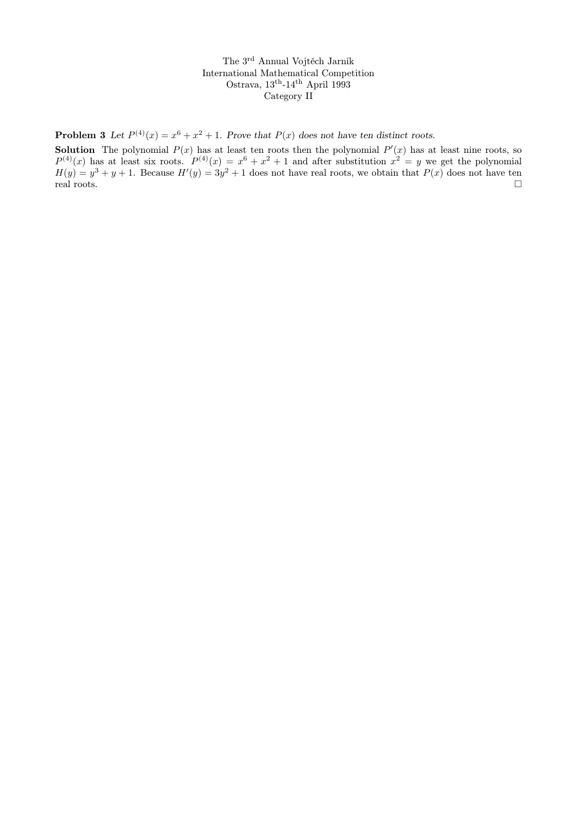The 3rd Annual Vojtěch Jarník International Mathematical Competition Ostrava,  $13^{\text{th}}-14^{\text{th}}$  April 1993 Category II

**Problem 3** Let  $P^{(4)}(x) = x^6 + x^2 + 1$ . Prove that  $P(x)$  does not have ten distinct roots.

**Solution** The polynomial  $P(x)$  has at least ten roots then the polynomial  $P'(x)$  has at least nine roots, so  $P^{(4)}(x)$  has at least six roots.  $P^{(4)}(x) = x^6 + x^2 + 1$  and after substitution  $x^2 = y$  we get the polynomial  $H(y) = y^3 + y + 1$ . Because  $H'(y) = 3y^2 + 1$  does not have real roots, we obtain that  $P(x)$  does not have ten real roots.